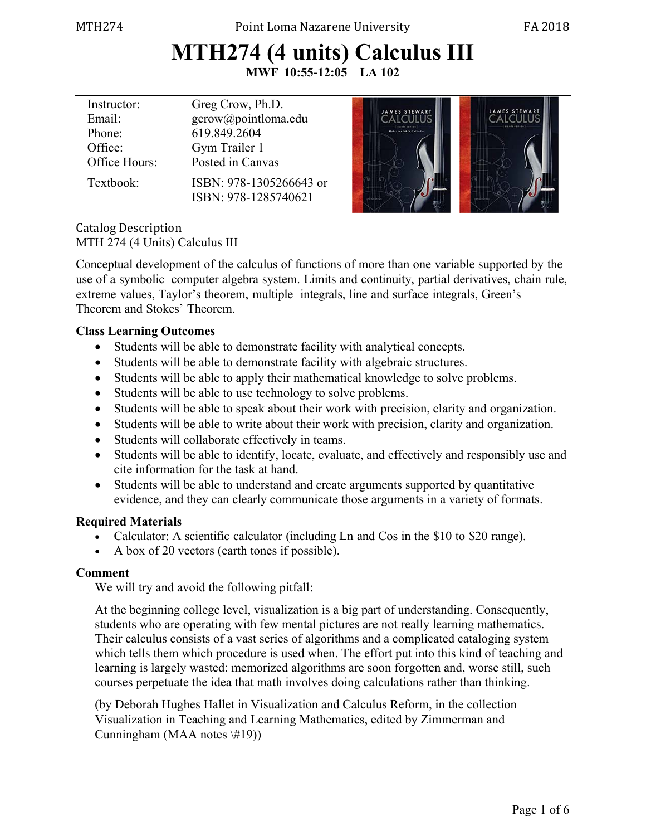# **MTH274 (4 units) Calculus III**

**MWF 10:55-12:05 LA 102** 

| Instructor:   | Greg Crow, Ph.D.                                | JAMES STEWAR                 | <b>JAMES STEWART</b> |
|---------------|-------------------------------------------------|------------------------------|----------------------|
| Email:        | gcrow@pointloma.edu                             |                              |                      |
| Phone:        | 619.849.2604                                    | <b>Maltisationis Colonia</b> |                      |
| Office:       | Gym Trailer 1                                   |                              |                      |
| Office Hours: | Posted in Canvas                                |                              |                      |
| Textbook:     | ISBN: 978-1305266643 or<br>ISBN: 978-1285740621 |                              |                      |

Catalog Description MTH 274 (4 Units) Calculus III

Conceptual development of the calculus of functions of more than one variable supported by the use of a symbolic computer algebra system. Limits and continuity, partial derivatives, chain rule, extreme values, Taylor's theorem, multiple integrals, line and surface integrals, Green's Theorem and Stokes' Theorem.

#### **Class Learning Outcomes**

- Students will be able to demonstrate facility with analytical concepts.
- Students will be able to demonstrate facility with algebraic structures.
- Students will be able to apply their mathematical knowledge to solve problems.
- Students will be able to use technology to solve problems.
- Students will be able to speak about their work with precision, clarity and organization.
- Students will be able to write about their work with precision, clarity and organization.
- Students will collaborate effectively in teams.
- Students will be able to identify, locate, evaluate, and effectively and responsibly use and cite information for the task at hand.
- Students will be able to understand and create arguments supported by quantitative evidence, and they can clearly communicate those arguments in a variety of formats.

### **Required Materials**

- Calculator: A scientific calculator (including Ln and Cos in the \$10 to \$20 range).
- A box of 20 vectors (earth tones if possible).

## **Comment**

We will try and avoid the following pitfall:

At the beginning college level, visualization is a big part of understanding. Consequently, students who are operating with few mental pictures are not really learning mathematics. Their calculus consists of a vast series of algorithms and a complicated cataloging system which tells them which procedure is used when. The effort put into this kind of teaching and learning is largely wasted: memorized algorithms are soon forgotten and, worse still, such courses perpetuate the idea that math involves doing calculations rather than thinking.

(by Deborah Hughes Hallet in Visualization and Calculus Reform, in the collection Visualization in Teaching and Learning Mathematics, edited by Zimmerman and Cunningham (MAA notes \#19))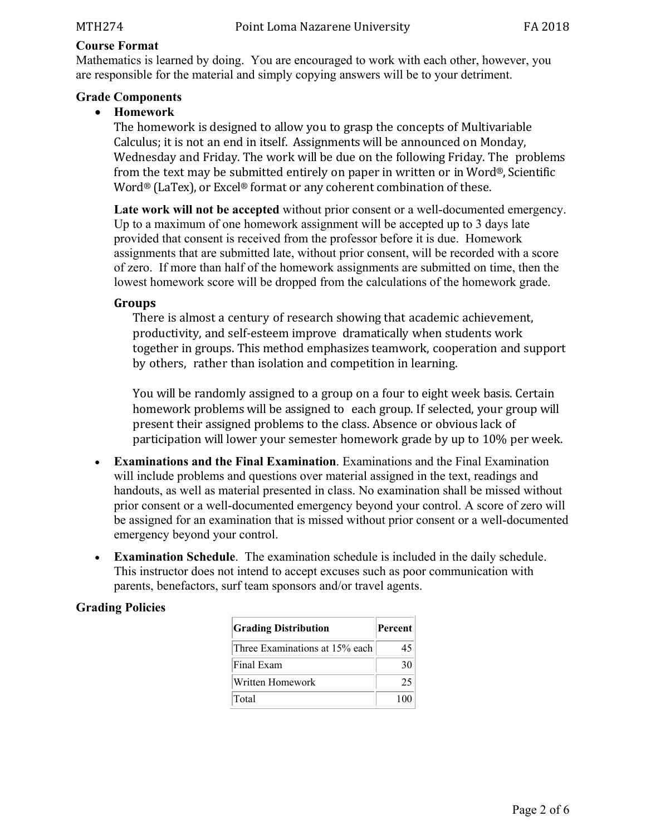#### **Course Format**

Mathematics is learned by doing. You are encouraged to work with each other, however, you are responsible for the material and simply copying answers will be to your detriment.

#### **Grade Components**

#### **Homework**

The homework is designed to allow you to grasp the concepts of Multivariable Calculus; it is not an end in itself. Assignments will be announced on Monday, Wednesday and Friday. The work will be due on the following Friday. The problems from the text may be submitted entirely on paper in written or in Word®, Scientific Word® (LaTex), or Excel® format or any coherent combination of these.

**Late work will not be accepted** without prior consent or a well-documented emergency. Up to a maximum of one homework assignment will be accepted up to 3 days late provided that consent is received from the professor before it is due. Homework assignments that are submitted late, without prior consent, will be recorded with a score of zero. If more than half of the homework assignments are submitted on time, then the lowest homework score will be dropped from the calculations of the homework grade.

#### **Groups**

There is almost a century of research showing that academic achievement, productivity, and self-esteem improve dramatically when students work together in groups. This method emphasizes teamwork, cooperation and support by others, rather than isolation and competition in learning.

You will be randomly assigned to a group on a four to eight week basis. Certain homework problems will be assigned to each group. If selected, your group will present their assigned problems to the class. Absence or obvious lack of participation will lower your semester homework grade by up to 10% per week.

- **Examinations and the Final Examination**. Examinations and the Final Examination will include problems and questions over material assigned in the text, readings and handouts, as well as material presented in class. No examination shall be missed without prior consent or a well-documented emergency beyond your control. A score of zero will be assigned for an examination that is missed without prior consent or a well-documented emergency beyond your control.
- **Examination Schedule**. The examination schedule is included in the daily schedule. This instructor does not intend to accept excuses such as poor communication with parents, benefactors, surf team sponsors and/or travel agents.

### **Grading Policies**

| <b>Grading Distribution</b>    | Percent |  |
|--------------------------------|---------|--|
| Three Examinations at 15% each | 45      |  |
| Final Exam                     | 30      |  |
| Written Homework               | 25      |  |
| $\Gamma$ otal                  |         |  |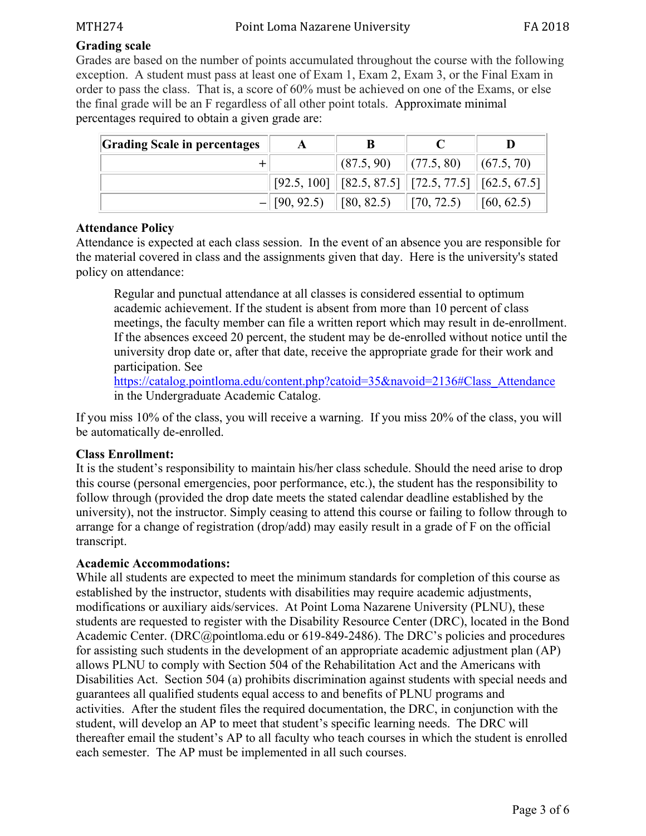#### **Grading scale**

Grades are based on the number of points accumulated throughout the course with the following exception. A student must pass at least one of Exam 1, Exam 2, Exam 3, or the Final Exam in order to pass the class. That is, a score of 60% must be achieved on one of the Exams, or else the final grade will be an F regardless of all other point totals. Approximate minimal percentages required to obtain a given grade are:

| <b>Grading Scale in percentages</b> |                                 |                                                                                       |                    |            |
|-------------------------------------|---------------------------------|---------------------------------------------------------------------------------------|--------------------|------------|
|                                     |                                 | $\  (87.5, 90) \  (77.5, 80) \  (67.5, 70)$                                           |                    |            |
|                                     |                                 | $\mid$ [92.5, 100] $\mid$ [82.5, 87.5] $\mid$ [72.5, 77.5] $\mid$ [62.5, 67.5] $\mid$ |                    |            |
|                                     | $-$    [90, 92.5)    [80, 82.5) |                                                                                       | $\vert$ [70, 72.5) | [60, 62.5) |

#### **Attendance Policy**

Attendance is expected at each class session. In the event of an absence you are responsible for the material covered in class and the assignments given that day. Here is the university's stated policy on attendance:

Regular and punctual attendance at all classes is considered essential to optimum academic achievement. If the student is absent from more than 10 percent of class meetings, the faculty member can file a written report which may result in de-enrollment. If the absences exceed 20 percent, the student may be de-enrolled without notice until the university drop date or, after that date, receive the appropriate grade for their work and participation. See

https://catalog.pointloma.edu/content.php?catoid=35&navoid=2136#Class\_Attendance in the Undergraduate Academic Catalog.

If you miss 10% of the class, you will receive a warning. If you miss 20% of the class, you will be automatically de-enrolled.

#### **Class Enrollment:**

It is the student's responsibility to maintain his/her class schedule. Should the need arise to drop this course (personal emergencies, poor performance, etc.), the student has the responsibility to follow through (provided the drop date meets the stated calendar deadline established by the university), not the instructor. Simply ceasing to attend this course or failing to follow through to arrange for a change of registration (drop/add) may easily result in a grade of F on the official transcript.

#### **Academic Accommodations:**

While all students are expected to meet the minimum standards for completion of this course as established by the instructor, students with disabilities may require academic adjustments, modifications or auxiliary aids/services. At Point Loma Nazarene University (PLNU), these students are requested to register with the Disability Resource Center (DRC), located in the Bond Academic Center. (DRC@pointloma.edu or 619-849-2486). The DRC's policies and procedures for assisting such students in the development of an appropriate academic adjustment plan (AP) allows PLNU to comply with Section 504 of the Rehabilitation Act and the Americans with Disabilities Act. Section 504 (a) prohibits discrimination against students with special needs and guarantees all qualified students equal access to and benefits of PLNU programs and activities. After the student files the required documentation, the DRC, in conjunction with the student, will develop an AP to meet that student's specific learning needs. The DRC will thereafter email the student's AP to all faculty who teach courses in which the student is enrolled each semester. The AP must be implemented in all such courses.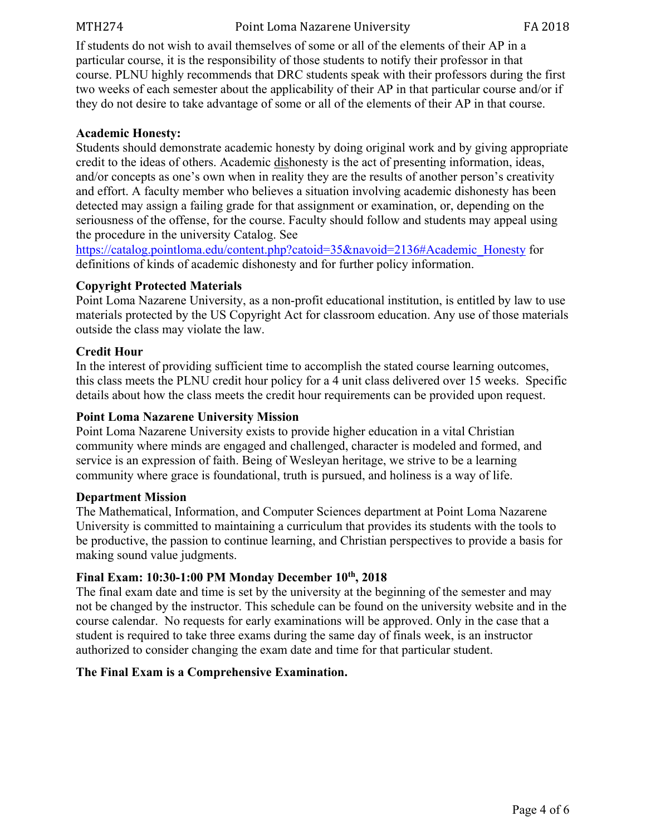MTH274 Point Loma Nazarene University FA 2018

If students do not wish to avail themselves of some or all of the elements of their AP in a particular course, it is the responsibility of those students to notify their professor in that course. PLNU highly recommends that DRC students speak with their professors during the first two weeks of each semester about the applicability of their AP in that particular course and/or if they do not desire to take advantage of some or all of the elements of their AP in that course.

#### **Academic Honesty:**

Students should demonstrate academic honesty by doing original work and by giving appropriate credit to the ideas of others. Academic dishonesty is the act of presenting information, ideas, and/or concepts as one's own when in reality they are the results of another person's creativity and effort. A faculty member who believes a situation involving academic dishonesty has been detected may assign a failing grade for that assignment or examination, or, depending on the seriousness of the offense, for the course. Faculty should follow and students may appeal using the procedure in the university Catalog. See

https://catalog.pointloma.edu/content.php?catoid=35&navoid=2136#Academic\_Honesty for definitions of kinds of academic dishonesty and for further policy information.

#### **Copyright Protected Materials**

Point Loma Nazarene University, as a non-profit educational institution, is entitled by law to use materials protected by the US Copyright Act for classroom education. Any use of those materials outside the class may violate the law.

#### **Credit Hour**

In the interest of providing sufficient time to accomplish the stated course learning outcomes, this class meets the PLNU credit hour policy for a 4 unit class delivered over 15 weeks. Specific details about how the class meets the credit hour requirements can be provided upon request.

#### **Point Loma Nazarene University Mission**

Point Loma Nazarene University exists to provide higher education in a vital Christian community where minds are engaged and challenged, character is modeled and formed, and service is an expression of faith. Being of Wesleyan heritage, we strive to be a learning community where grace is foundational, truth is pursued, and holiness is a way of life.

#### **Department Mission**

The Mathematical, Information, and Computer Sciences department at Point Loma Nazarene University is committed to maintaining a curriculum that provides its students with the tools to be productive, the passion to continue learning, and Christian perspectives to provide a basis for making sound value judgments.

#### **Final Exam: 10:30-1:00 PM Monday December 10th, 2018**

The final exam date and time is set by the university at the beginning of the semester and may not be changed by the instructor. This schedule can be found on the university website and in the course calendar. No requests for early examinations will be approved. Only in the case that a student is required to take three exams during the same day of finals week, is an instructor authorized to consider changing the exam date and time for that particular student.

#### **The Final Exam is a Comprehensive Examination.**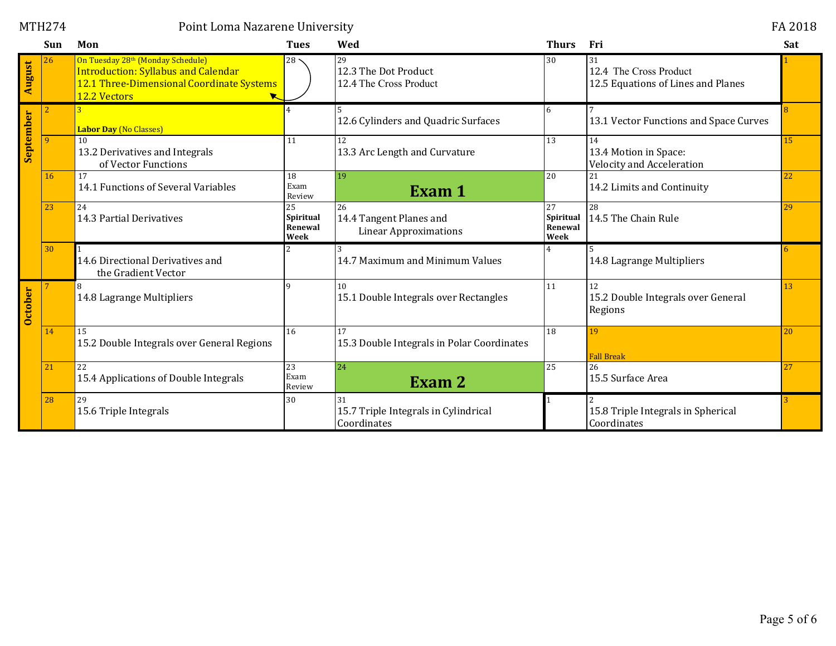|           | Sun | Mon                                                                                                                                          | <b>Tues</b>                        | Wed                                                           | <b>Thurs</b>                       | Fri                                                                | Sat |
|-----------|-----|----------------------------------------------------------------------------------------------------------------------------------------------|------------------------------------|---------------------------------------------------------------|------------------------------------|--------------------------------------------------------------------|-----|
| August    | 26  | On Tuesday 28th (Monday Schedule)<br><b>Introduction: Syllabus and Calendar</b><br>12.1 Three-Dimensional Coordinate Systems<br>12.2 Vectors | $28 -$                             | 29<br>12.3 The Dot Product<br>12.4 The Cross Product          | 30                                 | 31<br>12.4 The Cross Product<br>12.5 Equations of Lines and Planes |     |
|           |     | <b>Labor Day (No Classes)</b>                                                                                                                |                                    | 12.6 Cylinders and Quadric Surfaces                           | 6                                  | 13.1 Vector Functions and Space Curves                             |     |
| September | Q.  | 10<br>13.2 Derivatives and Integrals<br>of Vector Functions                                                                                  | 11                                 | 12<br>13.3 Arc Length and Curvature                           | 13                                 | 14<br>13.4 Motion in Space:<br><b>Velocity and Acceleration</b>    | 15  |
|           | 16  | 17<br>14.1 Functions of Several Variables                                                                                                    | 18<br>Exam<br>Review               | 19<br>Exam 1                                                  | 20                                 | 21<br>14.2 Limits and Continuity                                   | 22  |
|           | 23  | 24<br>14.3 Partial Derivatives                                                                                                               | 25<br>Spiritual<br>Renewal<br>Week | 26<br>14.4 Tangent Planes and<br><b>Linear Approximations</b> | 27<br>Spiritual<br>Renewal<br>Week | 28<br>14.5 The Chain Rule                                          | 29  |
|           | 30  | 14.6 Directional Derivatives and<br>the Gradient Vector                                                                                      |                                    | 14.7 Maximum and Minimum Values                               |                                    | 14.8 Lagrange Multipliers                                          |     |
| October   |     | 14.8 Lagrange Multipliers                                                                                                                    | $\Omega$                           | 10<br>15.1 Double Integrals over Rectangles                   | 11                                 | 12<br>15.2 Double Integrals over General<br>Regions                | 13  |
|           | 14  | 15<br>15.2 Double Integrals over General Regions                                                                                             | 16                                 | 17<br>15.3 Double Integrals in Polar Coordinates              | 18                                 | 19<br><b>Fall Break</b>                                            | 20  |
|           | 21  | 22<br>15.4 Applications of Double Integrals                                                                                                  | 23<br>Exam<br>Review               | 24<br>Exam 2                                                  | 25                                 | 26<br>15.5 Surface Area                                            | 27  |
|           | 28  | 29<br>15.6 Triple Integrals                                                                                                                  | 30                                 | 31<br>15.7 Triple Integrals in Cylindrical<br>Coordinates     |                                    | 15.8 Triple Integrals in Spherical<br>Coordinates                  |     |